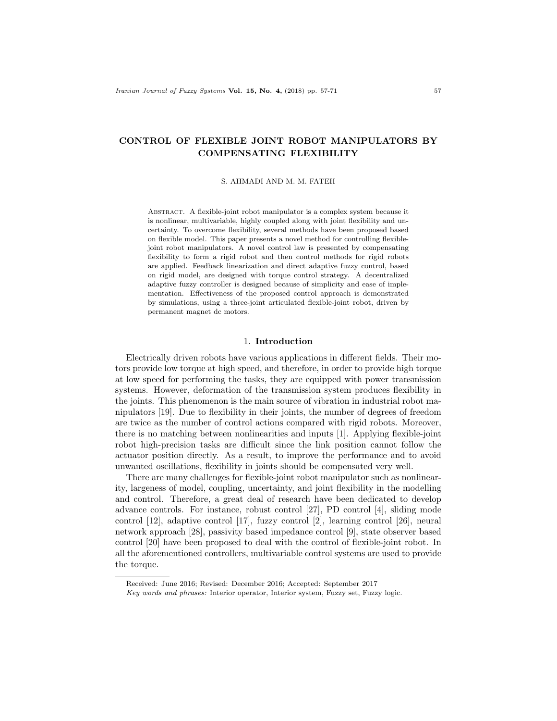# CONTROL OF FLEXIBLE JOINT ROBOT MANIPULATORS BY COMPENSATING FLEXIBILITY

S. AHMADI AND M. M. FATEH

Abstract. A flexible-joint robot manipulator is a complex system because it is nonlinear, multivariable, highly coupled along with joint flexibility and uncertainty. To overcome flexibility, several methods have been proposed based on flexible model. This paper presents a novel method for controlling flexiblejoint robot manipulators. A novel control law is presented by compensating flexibility to form a rigid robot and then control methods for rigid robots are applied. Feedback linearization and direct adaptive fuzzy control, based on rigid model, are designed with torque control strategy. A decentralized adaptive fuzzy controller is designed because of simplicity and ease of implementation. Effectiveness of the proposed control approach is demonstrated by simulations, using a three-joint articulated flexible-joint robot, driven by permanent magnet dc motors.

## 1. Introduction

Electrically driven robots have various applications in different fields. Their motors provide low torque at high speed, and therefore, in order to provide high torque at low speed for performing the tasks, they are equipped with power transmission systems. However, deformation of the transmission system produces flexibility in the joints. This phenomenon is the main source of vibration in industrial robot manipulators [19]. Due to flexibility in their joints, the number of degrees of freedom are twice as the number of control actions compared with rigid robots. Moreover, there is no matching between nonlinearities and inputs [1]. Applying flexible-joint robot high-precision tasks are difficult since the link position cannot follow the actuator position directly. As a result, to improve the performance and to avoid unwanted oscillations, flexibility in joints should be compensated very well.

There are many challenges for flexible-joint robot manipulator such as nonlinearity, largeness of model, coupling, uncertainty, and joint flexibility in the modelling and control. Therefore, a great deal of research have been dedicated to develop advance controls. For instance, robust control [27], PD control [4], sliding mode control [12], adaptive control [17], fuzzy control [2], learning control [26], neural network approach [28], passivity based impedance control [9], state observer based control [20] have been proposed to deal with the control of flexible-joint robot. In all the aforementioned controllers, multivariable control systems are used to provide the torque.

Received: June 2016; Revised: December 2016; Accepted: September 2017

Key words and phrases: Interior operator, Interior system, Fuzzy set, Fuzzy logic.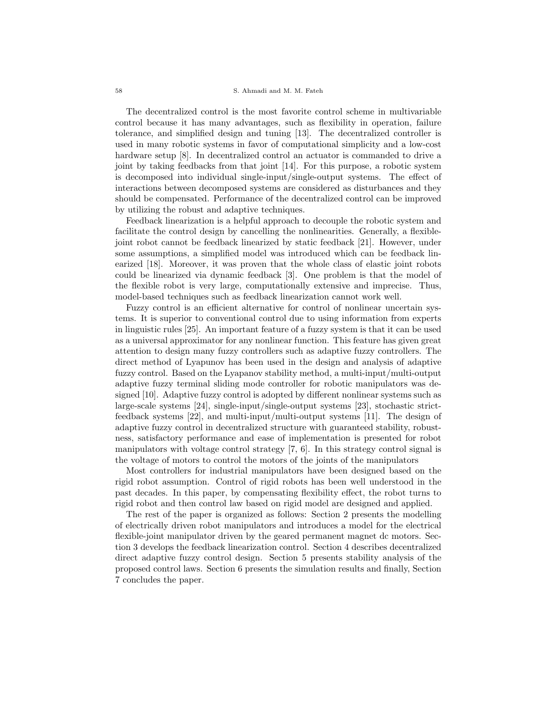#### 58 S. Ahmadi and M. M. Fateh

The decentralized control is the most favorite control scheme in multivariable control because it has many advantages, such as flexibility in operation, failure tolerance, and simplified design and tuning [13]. The decentralized controller is used in many robotic systems in favor of computational simplicity and a low-cost hardware setup [8]. In decentralized control an actuator is commanded to drive a joint by taking feedbacks from that joint [14]. For this purpose, a robotic system is decomposed into individual single-input/single-output systems. The effect of interactions between decomposed systems are considered as disturbances and they should be compensated. Performance of the decentralized control can be improved by utilizing the robust and adaptive techniques.

Feedback linearization is a helpful approach to decouple the robotic system and facilitate the control design by cancelling the nonlinearities. Generally, a flexiblejoint robot cannot be feedback linearized by static feedback [21]. However, under some assumptions, a simplified model was introduced which can be feedback linearized [18]. Moreover, it was proven that the whole class of elastic joint robots could be linearized via dynamic feedback [3]. One problem is that the model of the flexible robot is very large, computationally extensive and imprecise. Thus, model-based techniques such as feedback linearization cannot work well.

Fuzzy control is an efficient alternative for control of nonlinear uncertain systems. It is superior to conventional control due to using information from experts in linguistic rules [25]. An important feature of a fuzzy system is that it can be used as a universal approximator for any nonlinear function. This feature has given great attention to design many fuzzy controllers such as adaptive fuzzy controllers. The direct method of Lyapunov has been used in the design and analysis of adaptive fuzzy control. Based on the Lyapanov stability method, a multi-input/multi-output adaptive fuzzy terminal sliding mode controller for robotic manipulators was designed [10]. Adaptive fuzzy control is adopted by different nonlinear systems such as large-scale systems [24], single-input/single-output systems [23], stochastic strictfeedback systems [22], and multi-input/multi-output systems [11]. The design of adaptive fuzzy control in decentralized structure with guaranteed stability, robustness, satisfactory performance and ease of implementation is presented for robot manipulators with voltage control strategy [7, 6]. In this strategy control signal is the voltage of motors to control the motors of the joints of the manipulators

Most controllers for industrial manipulators have been designed based on the rigid robot assumption. Control of rigid robots has been well understood in the past decades. In this paper, by compensating flexibility effect, the robot turns to rigid robot and then control law based on rigid model are designed and applied.

The rest of the paper is organized as follows: Section 2 presents the modelling of electrically driven robot manipulators and introduces a model for the electrical flexible-joint manipulator driven by the geared permanent magnet dc motors. Section 3 develops the feedback linearization control. Section 4 describes decentralized direct adaptive fuzzy control design. Section 5 presents stability analysis of the proposed control laws. Section 6 presents the simulation results and finally, Section 7 concludes the paper.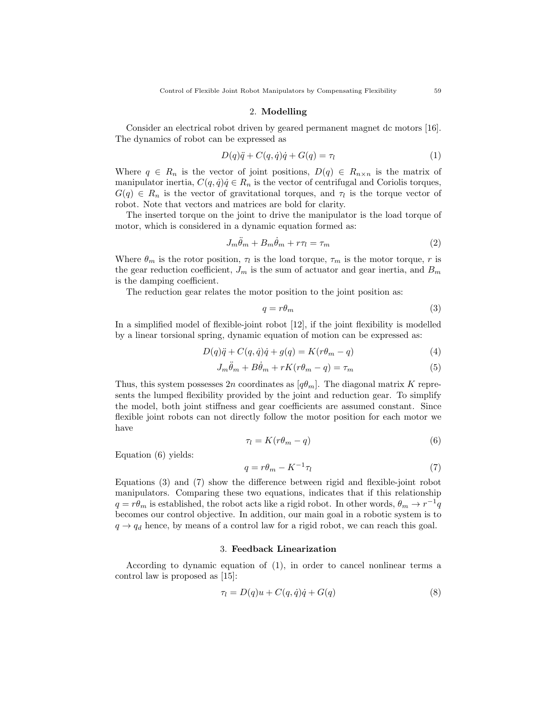### 2. Modelling

Consider an electrical robot driven by geared permanent magnet dc motors [16]. The dynamics of robot can be expressed as

$$
D(q)\ddot{q} + C(q, \dot{q})\dot{q} + G(q) = \tau_l \tag{1}
$$

Where  $q \in R_n$  is the vector of joint positions,  $D(q) \in R_{n \times n}$  is the matrix of manipulator inertia,  $C(q, \dot{q})\dot{q} \in R_n$  is the vector of centrifugal and Coriolis torques,  $G(q) \in R_n$  is the vector of gravitational torques, and  $\tau_l$  is the torque vector of robot. Note that vectors and matrices are bold for clarity.

The inserted torque on the joint to drive the manipulator is the load torque of motor, which is considered in a dynamic equation formed as:

$$
J_m \ddot{\theta}_m + B_m \dot{\theta}_m + r\tau_l = \tau_m \tag{2}
$$

Where  $\theta_m$  is the rotor position,  $\tau_l$  is the load torque,  $\tau_m$  is the motor torque, r is the gear reduction coefficient,  $J_m$  is the sum of actuator and gear inertia, and  $B_m$ is the damping coefficient.

The reduction gear relates the motor position to the joint position as:

$$
q = r\theta_m \tag{3}
$$

In a simplified model of flexible-joint robot [12], if the joint flexibility is modelled by a linear torsional spring, dynamic equation of motion can be expressed as:

$$
D(q)\ddot{q} + C(q, \dot{q})\dot{q} + g(q) = K(r\theta_m - q)
$$
\n<sup>(4)</sup>

$$
J_m \ddot{\theta}_m + B \dot{\theta}_m + rK(r\theta_m - q) = \tau_m \tag{5}
$$

Thus, this system possesses 2n coordinates as  $[q\theta_m]$ . The diagonal matrix K represents the lumped flexibility provided by the joint and reduction gear. To simplify the model, both joint stiffness and gear coefficients are assumed constant. Since flexible joint robots can not directly follow the motor position for each motor we have

$$
\tau_l = K(r\theta_m - q) \tag{6}
$$

Equation (6) yields:

$$
q = r\theta_m - K^{-1}\tau_l \tag{7}
$$

Equations (3) and (7) show the difference between rigid and flexible-joint robot manipulators. Comparing these two equations, indicates that if this relationship  $q = r\theta_m$  is established, the robot acts like a rigid robot. In other words,  $\theta_m \to r^{-1}q$ becomes our control objective. In addition, our main goal in a robotic system is to  $q \rightarrow q_d$  hence, by means of a control law for a rigid robot, we can reach this goal.

## 3. Feedback Linearization

According to dynamic equation of (1), in order to cancel nonlinear terms a control law is proposed as [15]:

$$
\tau_l = D(q)u + C(q, \dot{q})\dot{q} + G(q) \tag{8}
$$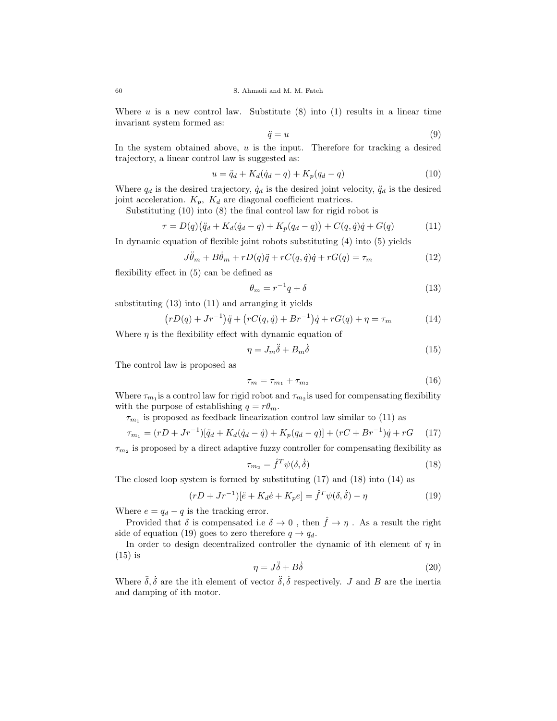Where  $u$  is a new control law. Substitute (8) into (1) results in a linear time invariant system formed as:

$$
\ddot{q} = u \tag{9}
$$

In the system obtained above,  $u$  is the input. Therefore for tracking a desired trajectory, a linear control law is suggested as:

$$
u = \ddot{q}_d + K_d(\dot{q}_d - q) + K_p(q_d - q)
$$
\n(10)

Where  $q_d$  is the desired trajectory,  $\dot{q}_d$  is the desired joint velocity,  $\ddot{q}_d$  is the desired joint acceleration.  $K_p$ ,  $K_d$  are diagonal coefficient matrices.

Substituting (10) into (8) the final control law for rigid robot is

$$
\tau = D(q)(\ddot{q}_d + K_d(\dot{q}_d - q) + K_p(q_d - q)) + C(q, \dot{q})\dot{q} + G(q) \tag{11}
$$

In dynamic equation of flexible joint robots substituting (4) into (5) yields

$$
J\ddot{\theta}_m + B\dot{\theta}_m + rD(q)\ddot{q} + rC(q, \dot{q})\dot{q} + rG(q) = \tau_m \tag{12}
$$

flexibility effect in (5) can be defined as

$$
\theta_m = r^{-1}q + \delta \tag{13}
$$

substituting (13) into (11) and arranging it yields

$$
(rD(q) + Jr^{-1})\ddot{q} + (rC(q, \dot{q}) + Br^{-1})\dot{q} + rG(q) + \eta = \tau_m \tag{14}
$$

Where  $\eta$  is the flexibility effect with dynamic equation of

$$
\eta = J_m \ddot{\delta} + B_m \dot{\delta} \tag{15}
$$

The control law is proposed as

$$
\tau_m = \tau_{m_1} + \tau_{m_2} \tag{16}
$$

Where  $\tau_{m_1}$  is a control law for rigid robot and  $\tau_{m_2}$  is used for compensating flexibility with the purpose of establishing  $q = r\theta_m$ .

 $\tau_{m_1}$  is proposed as feedback linearization control law similar to (11) as

$$
\tau_{m_1} = (rD + Jr^{-1})[\ddot{q}_d + K_d(\dot{q}_d - \dot{q}) + K_p(q_d - q)] + (rC + Br^{-1})\dot{q} + rG \quad (17)
$$

 $\tau_{m_2}$  is proposed by a direct adaptive fuzzy controller for compensating flexibility as

$$
\tau_{m_2} = \hat{f}^T \psi(\delta, \dot{\delta}) \tag{18}
$$

The closed loop system is formed by substituting (17) and (18) into (14) as

$$
(rD + Jr^{-1})[\ddot{e} + K_d \dot{e} + K_p e] = \hat{f}^T \psi(\delta, \dot{\delta}) - \eta
$$
\n(19)

Where  $e = q_d - q$  is the tracking error.

Provided that  $\delta$  is compensated i.e  $\delta \to 0$ , then  $\hat{f} \to \eta$ . As a result the right side of equation (19) goes to zero therefore  $q \to q_d$ .

In order to design decentralized controller the dynamic of ith element of  $\eta$  in (15) is

$$
\eta = J\ddot{\delta} + B\dot{\delta} \tag{20}
$$

Where  $\ddot{\delta}$ ,  $\dot{\delta}$  are the ith element of vector  $\ddot{\delta}$ ,  $\dot{\delta}$  respectively. J and B are the inertia and damping of ith motor.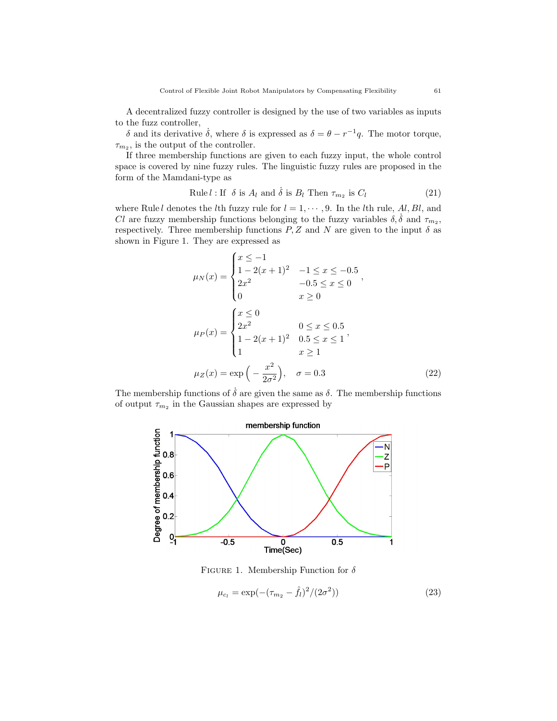A decentralized fuzzy controller is designed by the use of two variables as inputs to the fuzz controller,

δ and its derivative  $\dot{\delta}$ , where δ is expressed as  $\delta = \theta - r^{-1}q$ . The motor torque,  $\tau_{m_2}$ , is the output of the controller.

If three membership functions are given to each fuzzy input, the whole control space is covered by nine fuzzy rules. The linguistic fuzzy rules are proposed in the form of the Mamdani-type as

Rule 
$$
l
$$
: If  $\delta$  is  $A_l$  and  $\dot{\delta}$  is  $B_l$  Then  $\tau_{m_2}$  is  $C_l$  (21)

where Rule l denotes the lth fuzzy rule for  $l = 1, \dots, 9$ . In the lth rule, Al, Bl, and *Cl* are fuzzy membership functions belonging to the fuzzy variables  $\delta, \dot{\delta}$  and  $\tau_{m_2}$ , respectively. Three membership functions  $P, Z$  and N are given to the input  $\delta$  as shown in Figure 1. They are expressed as

$$
\mu_N(x) = \begin{cases}\nx \le -1 \\
1 - 2(x + 1)^2 & -1 \le x \le -0.5 \\
2x^2 & -0.5 \le x \le 0\n\end{cases},
$$
\n
$$
\mu_P(x) = \begin{cases}\nx \le 0 \\
2x^2 & 0 \le x \le 0.5 \\
1 - 2(x + 1)^2 & 0.5 \le x \le 1 \\
1 & x \ge 1\n\end{cases},
$$
\n
$$
\mu_Z(x) = \exp\left(-\frac{x^2}{2\sigma^2}\right), \quad \sigma = 0.3
$$
\n(22)

The membership functions of  $\dot{\delta}$  are given the same as  $\delta$ . The membership functions of output  $\tau_{m_2}$  in the Gaussian shapes are expressed by



FIGURE 1. Membership Function for  $\delta$ 

$$
\mu_{c_l} = \exp(-(\tau_{m_2} - \hat{f}_l)^2 / (2\sigma^2))
$$
\n(23)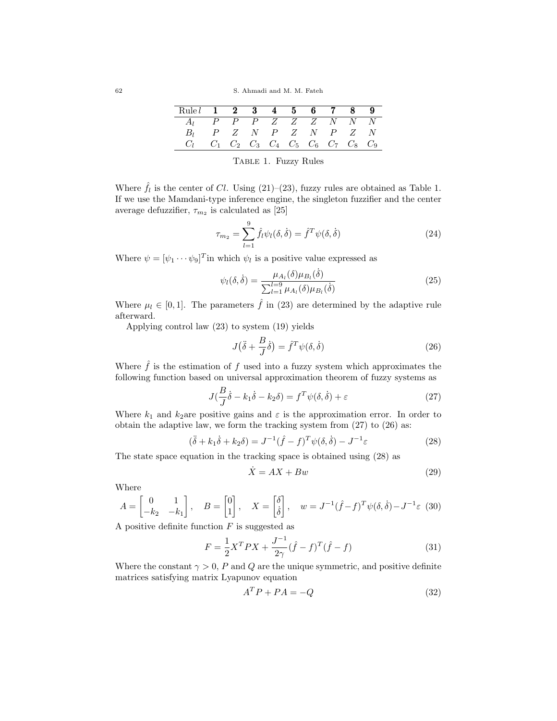| Rule $1 \t2 \t3 \t4 \t5 \t6 \t7 \t8 \t9$                    |  |  |  |  |  |
|-------------------------------------------------------------|--|--|--|--|--|
| $A_1$ P P P Z Z Z N N N                                     |  |  |  |  |  |
| $B_l$ $P$ $Z$ $N$ $P$ $Z$ $N$ $P$ $Z$ $N$                   |  |  |  |  |  |
| $C_1$ $C_1$ $C_2$ $C_3$ $C_4$ $C_5$ $C_6$ $C_7$ $C_8$ $C_9$ |  |  |  |  |  |

Table 1. Fuzzy Rules

Where  $\hat{f}_l$  is the center of Cl. Using (21)–(23), fuzzy rules are obtained as Table 1. If we use the Mamdani-type inference engine, the singleton fuzzifier and the center average defuzzifier,  $\tau_{m_2}$  is calculated as [25]

$$
\tau_{m_2} = \sum_{l=1}^{9} \hat{f}_l \psi_l(\delta, \dot{\delta}) = \hat{f}^T \psi(\delta, \dot{\delta}) \tag{24}
$$

Where  $\psi = [\psi_1 \cdots \psi_9]^T$  in which  $\psi_l$  is a positive value expressed as

$$
\psi_l(\delta, \dot{\delta}) = \frac{\mu_{A_l}(\delta)\mu_{B_l}(\dot{\delta})}{\sum_{l=1}^{l=9} \mu_{A_l}(\delta)\mu_{B_l}(\dot{\delta})}
$$
(25)

Where  $\mu_l \in [0, 1]$ . The parameters  $\hat{f}$  in (23) are determined by the adaptive rule afterward.

Applying control law (23) to system (19) yields

$$
J(\ddot{\delta} + \frac{B}{J}\dot{\delta}) = \hat{f}^T \psi(\delta, \dot{\delta})
$$
\n(26)

Where  $\hat{f}$  is the estimation of f used into a fuzzy system which approximates the following function based on universal approximation theorem of fuzzy systems as

$$
J(\frac{B}{J}\dot{\delta} - k_1\dot{\delta} - k_2\delta) = f^T\psi(\delta, \dot{\delta}) + \varepsilon
$$
\n(27)

Where  $k_1$  and  $k_2$ are positive gains and  $\varepsilon$  is the approximation error. In order to obtain the adaptive law, we form the tracking system from (27) to (26) as:

$$
(\ddot{\delta} + k_1 \dot{\delta} + k_2 \delta) = J^{-1} (\hat{f} - f)^T \psi(\delta, \dot{\delta}) - J^{-1} \varepsilon \tag{28}
$$

The state space equation in the tracking space is obtained using (28) as

$$
\dot{X} = AX + Bw \tag{29}
$$

Where

$$
A = \begin{bmatrix} 0 & 1 \\ -k_2 & -k_1 \end{bmatrix}, \quad B = \begin{bmatrix} 0 \\ 1 \end{bmatrix}, \quad X = \begin{bmatrix} \delta \\ \dot{\delta} \end{bmatrix}, \quad w = J^{-1}(\hat{f} - f)^T \psi(\delta, \dot{\delta}) - J^{-1} \varepsilon \tag{30}
$$

A positive definite function  $F$  is suggested as

$$
F = \frac{1}{2}X^T PX + \frac{J^{-1}}{2\gamma}(\hat{f} - f)^T(\hat{f} - f)
$$
\n(31)

Where the constant  $\gamma > 0$ , P and Q are the unique symmetric, and positive definite matrices satisfying matrix Lyapunov equation

$$
A^T P + P A = -Q \tag{32}
$$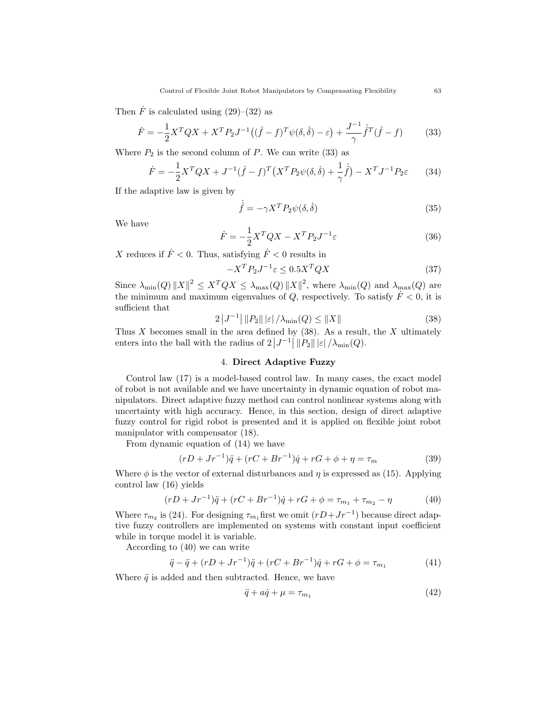Then  $\dot{F}$  is calculated using (29)–(32) as

$$
\dot{F} = -\frac{1}{2}X^T Q X + X^T P_2 J^{-1} ((\hat{f} - f)^T \psi(\delta, \dot{\delta}) - \varepsilon) + \frac{J^{-1}}{\gamma} \dot{\hat{f}}^T (\hat{f} - f)
$$
(33)

Where  $P_2$  is the second column of P. We can write (33) as

$$
\dot{F} = -\frac{1}{2}X^TQX + J^{-1}(\hat{f} - f)^T(X^TP_2\psi(\delta, \dot{\delta}) + \frac{1}{\gamma}\dot{\hat{f}}) - X^TJ^{-1}P_2\varepsilon
$$
(34)

If the adaptive law is given by

$$
\dot{\hat{f}} = -\gamma X^T P_2 \psi(\delta, \dot{\delta}) \tag{35}
$$

We have

$$
\dot{F} = -\frac{1}{2}X^TQX - X^TP_2J^{-1}\varepsilon\tag{36}
$$

X reduces if  $\dot{F}$  < 0. Thus, satisfying  $\dot{F}$  < 0 results in

$$
-X^T P_2 J^{-1} \varepsilon \le 0.5 X^T Q X \tag{37}
$$

Since  $\lambda_{\min}(Q) ||X||^2 \leq X^T Q X \leq \lambda_{\max}(Q) ||X||^2$ , where  $\lambda_{\min}(Q)$  and  $\lambda_{\max}(Q)$  are the minimum and maximum eigenvalues of  $Q$ , respectively. To satisfy  $\dot{F} < 0$ , it is sufficient that

$$
2|J^{-1}| ||P_2|| |\varepsilon| / \lambda_{\min}(Q) \le ||X|| \tag{38}
$$

Thus  $X$  becomes small in the area defined by  $(38)$ . As a result, the  $X$  ultimately enters into the ball with the radius of  $2|J^{-1}| ||P_2|| |\varepsilon| / \lambda_{\min}(Q)$ .

## 4. Direct Adaptive Fuzzy

Control law (17) is a model-based control law. In many cases, the exact model of robot is not available and we have uncertainty in dynamic equation of robot manipulators. Direct adaptive fuzzy method can control nonlinear systems along with uncertainty with high accuracy. Hence, in this section, design of direct adaptive fuzzy control for rigid robot is presented and it is applied on flexible joint robot manipulator with compensator (18).

From dynamic equation of (14) we have

$$
(rD + Jr^{-1})\ddot{q} + (rC + Br^{-1})\dot{q} + rG + \phi + \eta = \tau_m \tag{39}
$$

Where  $\phi$  is the vector of external disturbances and  $\eta$  is expressed as (15). Applying control law (16) yields

$$
(rD + Jr^{-1})\ddot{q} + (rC + Br^{-1})\dot{q} + rG + \phi = \tau_{m_1} + \tau_{m_2} - \eta \tag{40}
$$

Where  $\tau_{m_2}$  is (24). For designing  $\tau_{m_1}$  first we omit  $(rD+Jr^{-1})$  because direct adaptive fuzzy controllers are implemented on systems with constant input coefficient while in torque model it is variable.

According to (40) we can write

$$
\ddot{q} - \ddot{q} + (rD + Jr^{-1})\ddot{q} + (rC + Br^{-1})\dot{q} + rG + \phi = \tau_{m_1}
$$
\n(41)

Where  $\ddot{q}$  is added and then subtracted. Hence, we have

$$
\ddot{q} + a\dot{q} + \mu = \tau_{m_1} \tag{42}
$$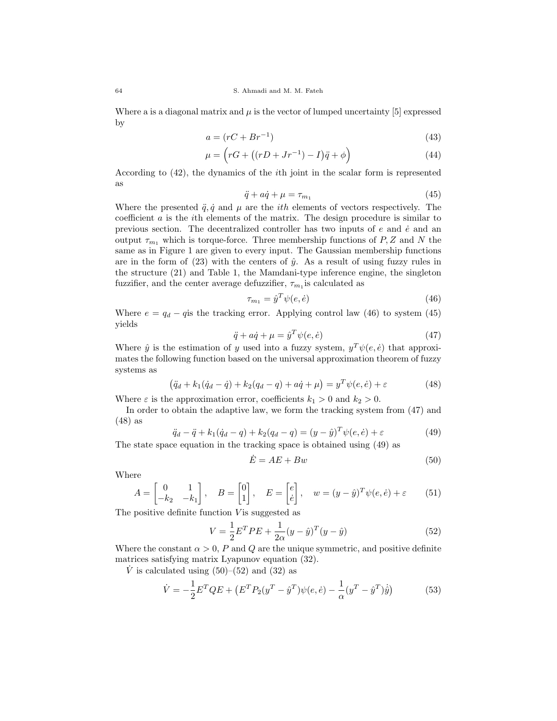Where a is a diagonal matrix and  $\mu$  is the vector of lumped uncertainty [5] expressed by

$$
a = (rC + Br^{-1})\tag{43}
$$

$$
\mu = \left( rG + \left( (rD + Jr^{-1}) - I \right) \ddot{q} + \phi \right) \tag{44}
$$

According to (42), the dynamics of the ith joint in the scalar form is represented as

$$
\ddot{q} + a\dot{q} + \mu = \tau_{m_1} \tag{45}
$$

Where the presented  $\ddot{q}, \dot{q}$  and  $\mu$  are the *ith* elements of vectors respectively. The coefficient  $\alpha$  is the *i*th elements of the matrix. The design procedure is similar to previous section. The decentralized controller has two inputs of  $e$  and  $\dot{e}$  and an output  $\tau_{m_1}$  which is torque-force. Three membership functions of P, Z and N the same as in Figure 1 are given to every input. The Gaussian membership functions are in the form of  $(23)$  with the centers of  $\hat{y}$ . As a result of using fuzzy rules in the structure (21) and Table 1, the Mamdani-type inference engine, the singleton fuzzifier, and the center average defuzzifier,  $\tau_{m_1}$  is calculated as

$$
\tau_{m_1} = \hat{y}^T \psi(e, \dot{e}) \tag{46}
$$

Where  $e = q_d - q$  is the tracking error. Applying control law (46) to system (45) yields

$$
\ddot{q} + a\dot{q} + \mu = \hat{y}^T \psi(e, \dot{e}) \tag{47}
$$

Where  $\hat{y}$  is the estimation of y used into a fuzzy system,  $y^T \psi(e, \dot{e})$  that approximates the following function based on the universal approximation theorem of fuzzy systems as

$$
(\ddot{q}_d + k_1(\dot{q}_d - \dot{q}) + k_2(q_d - q) + a\dot{q} + \mu) = y^T \psi(e, \dot{e}) + \varepsilon
$$
 (48)

Where  $\varepsilon$  is the approximation error, coefficients  $k_1 > 0$  and  $k_2 > 0$ .

In order to obtain the adaptive law, we form the tracking system from (47) and (48) as

$$
\ddot{q}_d - \ddot{q} + k_1(\dot{q}_d - q) + k_2(q_d - q) = (y - \hat{y})^T \psi(e, \dot{e}) + \varepsilon \tag{49}
$$

The state space equation in the tracking space is obtained using (49) as

$$
\dot{E} = AE + Bw \tag{50}
$$

Where

$$
A = \begin{bmatrix} 0 & 1 \\ -k_2 & -k_1 \end{bmatrix}, \quad B = \begin{bmatrix} 0 \\ 1 \end{bmatrix}, \quad E = \begin{bmatrix} e \\ e \end{bmatrix}, \quad w = (y - \hat{y})^T \psi(e, \dot{e}) + \varepsilon \tag{51}
$$

The positive definite function  $V$  is suggested as

$$
V = \frac{1}{2}E^{T}PE + \frac{1}{2\alpha}(y - \hat{y})^{T}(y - \hat{y})
$$
\n(52)

Where the constant  $\alpha > 0$ , P and Q are the unique symmetric, and positive definite matrices satisfying matrix Lyapunov equation (32).

 $\dot{V}$  is calculated using (50)–(52) and (32) as

$$
\dot{V} = -\frac{1}{2}E^{T}QE + \left(E^{T}P_{2}(y^{T} - \hat{y}^{T})\psi(e, \dot{e}) - \frac{1}{\alpha}(y^{T} - \hat{y}^{T})\dot{\hat{y}}\right)
$$
(53)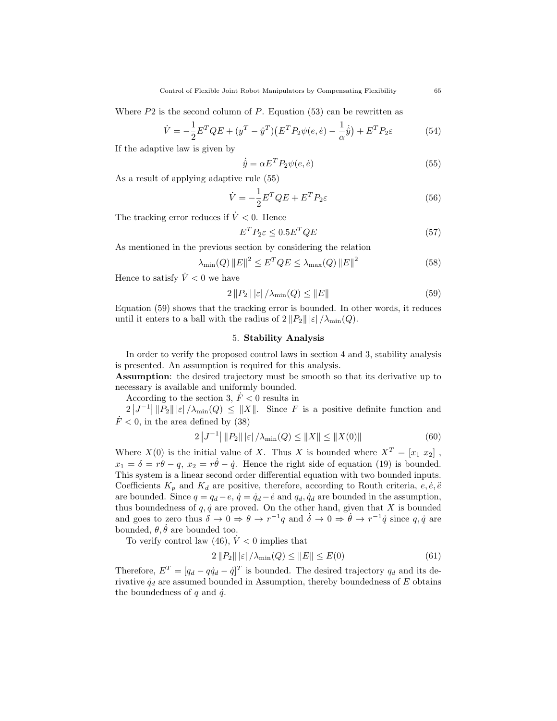Where  $P2$  is the second column of  $P$ . Equation (53) can be rewritten as

$$
\dot{V} = -\frac{1}{2}E^{T}QE + (y^{T} - \hat{y}^{T})(E^{T}P_{2}\psi(e,\dot{e}) - \frac{1}{\alpha}\dot{y}) + E^{T}P_{2}\varepsilon
$$
(54)

If the adaptive law is given by

$$
\dot{\hat{y}} = \alpha E^T P_2 \psi(e, \dot{e}) \tag{55}
$$

As a result of applying adaptive rule (55)

$$
\dot{V} = -\frac{1}{2}E^T Q E + E^T P_2 \varepsilon \tag{56}
$$

The tracking error reduces if  $\dot{V} < 0$ . Hence

$$
E^T P_2 \varepsilon \le 0.5 E^T Q E \tag{57}
$$

As mentioned in the previous section by considering the relation

$$
\lambda_{\min}(Q) \|E\|^2 \le E^T Q E \le \lambda_{\max}(Q) \|E\|^2 \tag{58}
$$

Hence to satisfy  $\dot{V} < 0$  we have

$$
2\left\|P_2\right\|\left|\varepsilon\right|/\lambda_{\min}(Q) \leq \|E\| \tag{59}
$$

Equation (59) shows that the tracking error is bounded. In other words, it reduces until it enters to a ball with the radius of  $2||P_2|| |\varepsilon| / \lambda_{\min}(Q)$ .

## 5. Stability Analysis

In order to verify the proposed control laws in section 4 and 3, stability analysis is presented. An assumption is required for this analysis.

Assumption: the desired trajectory must be smooth so that its derivative up to necessary is available and uniformly bounded.

According to the section 3,  $\dot{F}$  < 0 results in

 $2|J^{-1}| ||P_2|| |\varepsilon| / \lambda_{\min}(Q) \le ||X||$ . Since F is a positive definite function and  $\dot{F}$  < 0, in the area defined by (38)

$$
2|J^{-1}| ||P_2|| ||\varepsilon| / \lambda_{\min}(Q) \le ||X|| \le ||X(0)|| \tag{60}
$$

Where  $X(0)$  is the initial value of X. Thus X is bounded where  $X^T = [x_1 \ x_2]$ ,  $x_1 = \delta = r\theta - q$ ,  $x_2 = r\dot{\theta} - \dot{q}$ . Hence the right side of equation (19) is bounded. This system is a linear second order differential equation with two bounded inputs. Coefficients  $K_p$  and  $K_d$  are positive, therefore, according to Routh criteria,  $e, \dot{e}, \ddot{e}$ are bounded. Since  $q = q_d - e$ ,  $\dot{q} = \dot{q}_d - \dot{e}$  and  $q_d$ ,  $\dot{q}_d$  are bounded in the assumption, thus boundedness of  $q, \dot{q}$  are proved. On the other hand, given that X is bounded and goes to zero thus  $\delta \to 0 \Rightarrow \theta \to r^{-1}q$  and  $\dot{\delta} \to 0 \Rightarrow \dot{\theta} \to r^{-1}\dot{q}$  since  $q, \dot{q}$  are bounded,  $\theta$ ,  $\theta$  are bounded too.

To verify control law (46),  $\dot{V}$  < 0 implies that

$$
2\|P_2\| \, |\varepsilon| \, / \lambda_{\min}(Q) \le \|E\| \le E(0) \tag{61}
$$

Therefore,  $E^T = [q_d - q\dot{q}_d - \dot{q}]^T$  is bounded. The desired trajectory  $q_d$  and its derivative  $\dot{q}_d$  are assumed bounded in Assumption, thereby boundedness of E obtains the boundedness of  $q$  and  $\dot{q}$ .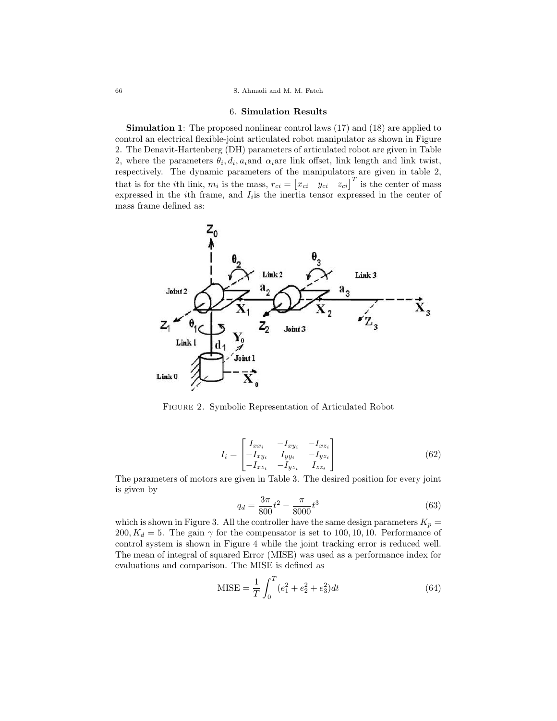### 66 S. Ahmadi and M. M. Fateh

### 6. Simulation Results

Simulation 1: The proposed nonlinear control laws (17) and (18) are applied to control an electrical flexible-joint articulated robot manipulator as shown in Figure 2. The Denavit-Hartenberg (DH) parameters of articulated robot are given in Table 2, where the parameters  $\theta_i, d_i, a_i$  and  $\alpha_i$  are link offset, link length and link twist, respectively. The dynamic parameters of the manipulators are given in table 2, that is for the *i*th link,  $m_i$  is the mass,  $r_{ci} = \begin{bmatrix} x_{ci} & y_{ci} & z_{ci} \end{bmatrix}^T$  is the center of mass expressed in the *i*<sup>th</sup> frame, and  $I_i$  is the inertia tensor expressed in the center of mass frame defined as:



Figure 2. Symbolic Representation of Articulated Robot

$$
I_{i} = \begin{bmatrix} I_{xx_{i}} & -I_{xy_{i}} & -I_{xz_{i}} \\ -I_{xy_{i}} & I_{yy_{i}} & -I_{yz_{i}} \\ -I_{xz_{i}} & -I_{yz_{i}} & I_{zz_{i}} \end{bmatrix}
$$
(62)

The parameters of motors are given in Table 3. The desired position for every joint is given by

$$
q_d = \frac{3\pi}{800}t^2 - \frac{\pi}{8000}t^3\tag{63}
$$

which is shown in Figure 3. All the controller have the same design parameters  $K_p =$ 200,  $K_d = 5$ . The gain  $\gamma$  for the compensator is set to 100, 10, 10. Performance of control system is shown in Figure 4 while the joint tracking error is reduced well. The mean of integral of squared Error (MISE) was used as a performance index for evaluations and comparison. The MISE is defined as

$$
MISE = \frac{1}{T} \int_0^T (e_1^2 + e_2^2 + e_3^2) dt
$$
 (64)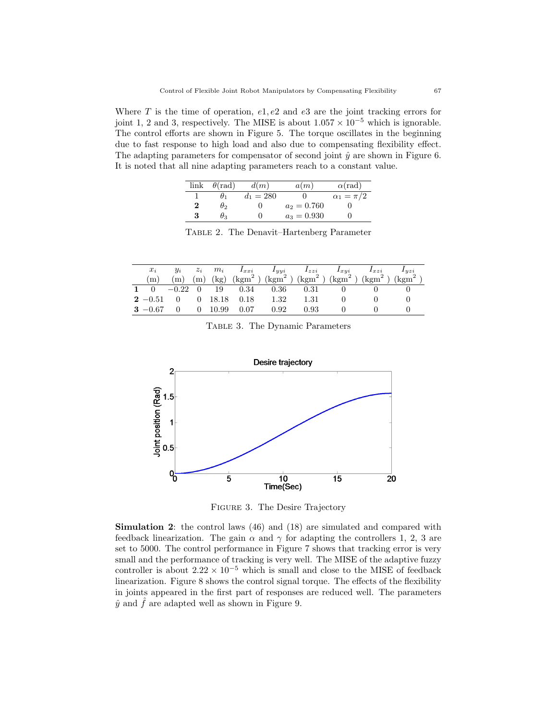Where  $T$  is the time of operation,  $e_1, e_2$  and  $e_3$  are the joint tracking errors for joint 1, 2 and 3, respectively. The MISE is about  $1.057 \times 10^{-5}$  which is ignorable. The control efforts are shown in Figure 5. The torque oscillates in the beginning due to fast response to high load and also due to compensating flexibility effect. The adapting parameters for compensator of second joint  $\hat{y}$  are shown in Figure 6. It is noted that all nine adapting parameters reach to a constant value.

|   | $link \theta(rad)$ | d(m)        | a(m)          | $\alpha$ (rad)     |
|---|--------------------|-------------|---------------|--------------------|
|   | $\theta_1$         | $d_1 = 280$ |               | $\alpha_1 = \pi/2$ |
| 2 | $\theta_2$         | 0           | $a_2 = 0.760$ |                    |
| 3 | $\theta_3$         |             | $a_3 = 0.930$ |                    |

Table 2. The Denavit–Hartenberg Parameter

| $x_i$          | $y_i$ |                |                                | $z_i$ $m_i$ $I_{xxi}$ $I_{yyi}$ $I_{zzi}$ $I_{xyi}$ $I_{xzi}$ $I_{yzi}$ |      |  |                                                                                                                                                |
|----------------|-------|----------------|--------------------------------|-------------------------------------------------------------------------|------|--|------------------------------------------------------------------------------------------------------------------------------------------------|
| (m)            |       |                |                                |                                                                         |      |  | (m) (m) (kg) $(kgm^2)$ (kgm <sup>2</sup> ) (kgm <sup>2</sup> ) (kgm <sup>2</sup> ) (kgm <sup>2</sup> ) (kgm <sup>2</sup> ) (kgm <sup>2</sup> ) |
|                |       |                |                                | 1 0 $-0.22$ 0 19 0.34 0.36 0.31 0                                       |      |  |                                                                                                                                                |
|                |       |                | $2 - 0.51$ 0 0 18.18 0.18 1.32 |                                                                         | 1.31 |  |                                                                                                                                                |
| $3 - 0.67 = 0$ |       | $0\quad 10.99$ | $\ddot{ }$ 0.07 $\ddots$       | 0.92                                                                    | 0.93 |  |                                                                                                                                                |

Table 3. The Dynamic Parameters



Figure 3. The Desire Trajectory

Simulation 2: the control laws (46) and (18) are simulated and compared with feedback linearization. The gain  $\alpha$  and  $\gamma$  for adapting the controllers 1, 2, 3 are set to 5000. The control performance in Figure 7 shows that tracking error is very small and the performance of tracking is very well. The MISE of the adaptive fuzzy controller is about  $2.22 \times 10^{-5}$  which is small and close to the MISE of feedback linearization. Figure 8 shows the control signal torque. The effects of the flexibility in joints appeared in the first part of responses are reduced well. The parameters  $\hat{y}$  and  $\hat{f}$  are adapted well as shown in Figure 9.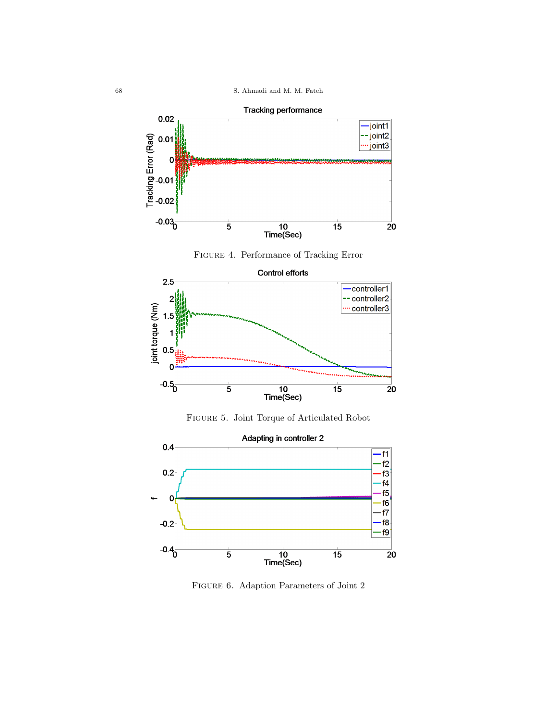









Figure 6. Adaption Parameters of Joint 2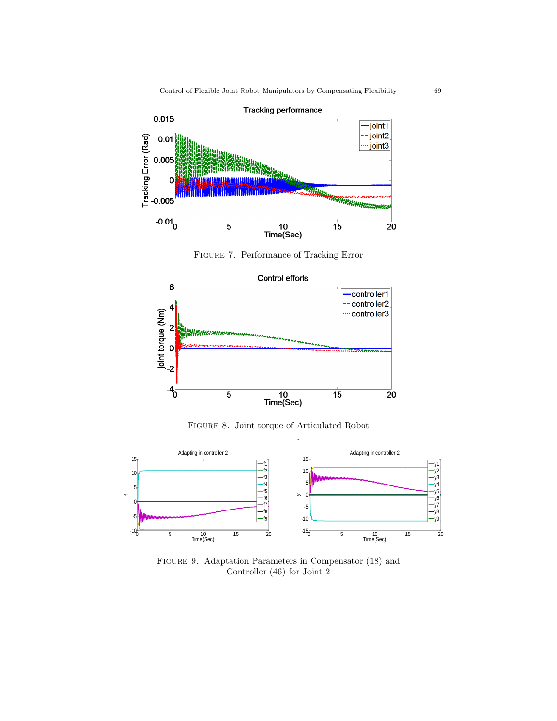

FIGURE 7. Performance of Tracking Error



FIGURE 8. Joint torque of articulated robot



FIGURE 9. Adaptation Parameters in Compensator (18) and  $\overline{G}$  of  $\overline{G}$  and  $\overline{G}$  and  $\overline{G}$ Controller (46) for Joint 2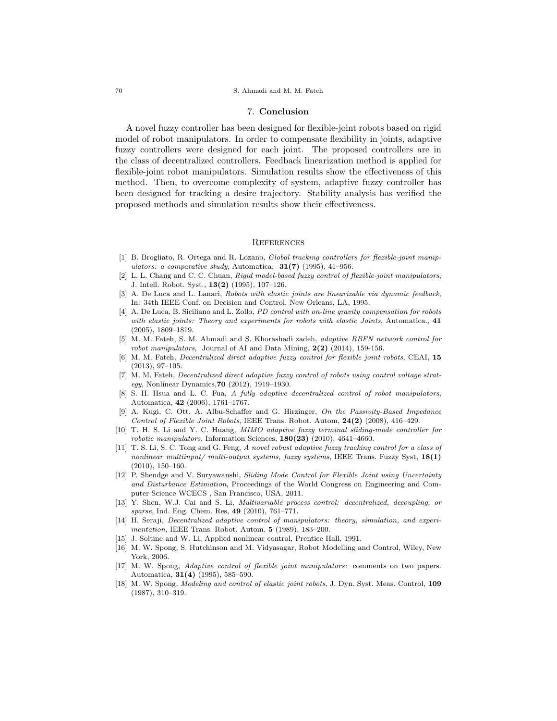### 70 S. Ahmadi and M. M. Fateh

### 7. Conclusion

A novel fuzzy controller has been designed for flexible-joint robots based on rigid model of robot manipulators. In order to compensate flexibility in joints, adaptive fuzzy controllers were designed for each joint. The proposed controllers are in the class of decentralized controllers. Feedback linearization method is applied for flexible-joint robot manipulators. Simulation results show the effectiveness of this method. Then, to overcome complexity of system, adaptive fuzzy controller has been designed for tracking a desire trajectory. Stability analysis has verified the proposed methods and simulation results show their effectiveness.

### **REFERENCES**

- [1] B. Brogliato, R. Ortega and R. Lozano, *Global tracking controllers for flexible-joint manip*ulators: a comparative study, Automatica,  $31(7)$  (1995), 41–956.
- [2] L. L. Chang and C. C. Chuan, Rigid model-based fuzzy control of flexible-joint manipulators, J. Intell. Robot. Syst., 13(2) (1995), 107–126.
- [3] A. De Luca and L. Lanari, Robots with elastic joints are linearizable via dynamic feedback, In: 34th IEEE Conf. on Decision and Control, New Orleans, LA, 1995.
- [4] A. De Luca, B. Siciliano and L. Zollo, *PD control with on-line gravity compensation for robots* with elastic joints: Theory and experiments for robots with elastic Joints, Automatica., 41 (2005), 1809–1819.
- [5] M. M. Fateh, S. M. Ahmadi and S. Khorashadi zadeh, adaptive RBFN network control for robot manipulators, Journal of AI and Data Mining,  $2(2)$  (2014), 159-156.
- [6] M. M. Fateh, Decentralized direct adaptive fuzzy control for flexible joint robots, CEAI, 15 (2013), 97–105.
- [7] M. M. Fateh, *Decentralized direct adaptive fuzzy control of robots using control voltage strat*egy, Nonlinear Dynamics,70 (2012), 1919–1930.
- [8] S. H. Hsua and L. C. Fua, A fully adaptive decentralized control of robot manipulators, Automatica, 42 (2006), 1761–1767.
- [9] A. Kugi, C. Ott, A. Albu-Schaffer and G. Hirzinger, On the Passivity-Based Impedance Control of Flexible Joint Robots, IEEE Trans. Robot. Autom, 24(2) (2008), 416–429.
- [10] T. H. S. Li and Y. C. Huang, MIMO adaptive fuzzy terminal sliding-mode controller for robotic manipulators, Information Sciences,  $180(23)$  (2010), 4641-4660.
- [11] T. S. Li, S. C. Tong and G. Feng, A novel robust adaptive fuzzy tracking control for a class of nonlinear multiinput/ multi-output systems, fuzzy systems, IEEE Trans. Fuzzy Syst,  $18(1)$  $(2010), 150-160.$
- [12] P. Shendge and V. Suryawanshi, Sliding Mode Control for Flexible Joint using Uncertainty and Disturbance Estimation, Proceedings of the World Congress on Engineering and Computer Science WCECS , San Francisco, USA, 2011.
- [13] Y. Shen, W.J. Cai and S. Li, Multivariable process control: decentralized, decoupling, or sparse, Ind. Eng. Chem. Res, 49 (2010), 761–771.
- [14] H. Seraji, Decentralized adaptive control of manipulators: theory, simulation, and experimentation, IEEE Trans. Robot. Autom, 5 (1989), 183–200.
- [15] J. Soltine and W. Li, Applied nonlinear control, Prentice Hall, 1991.
- [16] M. W. Spong, S. Hutchinson and M. Vidyasagar, Robot Modelling and Control, Wiley, New York, 2006.
- [17] M. W. Spong, Adaptive control of flexible joint manipulators: comments on two papers. Automatica, 31(4) (1995), 585–590.
- [18] M. W. Spong, *Modeling and control of elastic joint robots*, J. Dyn. Syst. Meas. Control, 109 (1987), 310–319.